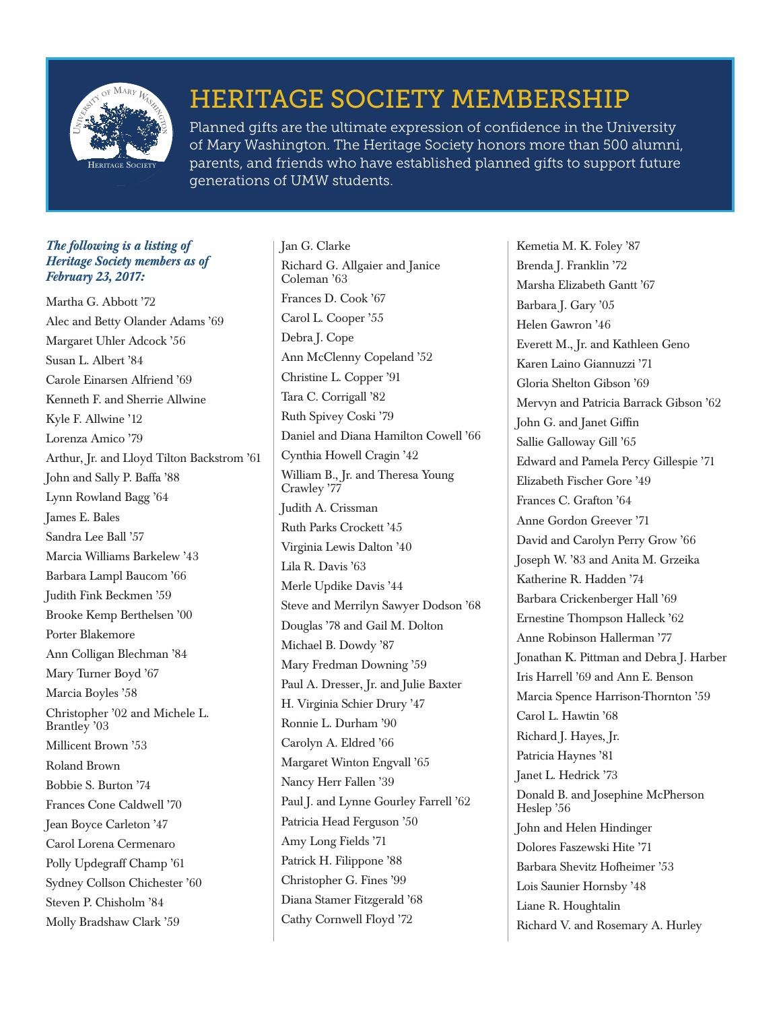

## HERITAGE SOCIETY MEMBERSHIP

Planned gifts are the ultimate expression of confidence in the University of Mary Washington. The Heritage Society honors more than 500 alumni, parents, and friends who have established planned gifts to support future generations of UMW students.

## *The following is a listing of Heritage Society members as of February 23, 2017:*

Martha G. Abbott '72 Alec and Betty Olander Adams '69 Margaret Uhler Adcock '56 Susan L. Albert '84 Carole Einarsen Alfriend '69 Kenneth F. and Sherrie Allwine Kyle F. Allwine '12 Lorenza Amico '79 Arthur, Jr. and Lloyd Tilton Backstrom '61 John and Sally P. Baffa '88 Lynn Rowland Bagg '64 James E. Bales Sandra Lee Ball '57 Marcia Williams Barkelew '43 Barbara Lampl Baucom '66 Judith Fink Beckmen '59 Brooke Kemp Berthelsen '00 Porter Blakemore Ann Colligan Blechman '84 Mary Turner Boyd '67 Marcia Boyles '58 Christopher '02 and Michele L. Brantley '03 Millicent Brown '53 Roland Brown Bobbie S. Burton '74 Frances Cone Caldwell '70 Jean Boyce Carleton '47 Carol Lorena Cermenaro Polly Updegraff Champ '61 Sydney Collson Chichester '60 Steven P. Chisholm '84 Molly Bradshaw Clark '59

Jan G. Clarke Richard G. Allgaier and Janice Coleman '63 Frances D. Cook '67 Carol L. Cooper '55 Debra J. Cope Ann McClenny Copeland '52 Christine L. Copper '91 Tara C. Corrigall '82 Ruth Spivey Coski '79 Daniel and Diana Hamilton Cowell '66 Cynthia Howell Cragin '42 William B., Jr. and Theresa Young Crawley '77 Judith A. Crissman Ruth Parks Crockett '45 Virginia Lewis Dalton '40 Lila R. Davis '63 Merle Updike Davis '44 Steve and Merrilyn Sawyer Dodson '68 Douglas '78 and Gail M. Dolton Michael B. Dowdy '87 Mary Fredman Downing '59 Paul A. Dresser, Jr. and Julie Baxter H. Virginia Schier Drury '47 Ronnie L. Durham '90 Carolyn A. Eldred '66 Margaret Winton Engvall '65 Nancy Herr Fallen '39 Paul J. and Lynne Gourley Farrell '62 Patricia Head Ferguson '50 Amy Long Fields '71 Patrick H. Filippone '88 Christopher G. Fines '99 Diana Stamer Fitzgerald '68 Cathy Cornwell Floyd '72

Kemetia M. K. Foley '87 Brenda J. Franklin '72 Marsha Elizabeth Gantt '67 Barbara J. Gary '05 Helen Gawron '46 Everett M., Jr. and Kathleen Geno Karen Laino Giannuzzi '71 Gloria Shelton Gibson '69 Mervyn and Patricia Barrack Gibson '62 John G. and Janet Giffin Sallie Galloway Gill '65 Edward and Pamela Percy Gillespie '71 Elizabeth Fischer Gore '49 Frances C. Grafton '64 Anne Gordon Greever '71 David and Carolyn Perry Grow '66 Joseph W. '83 and Anita M. Grzeika Katherine R. Hadden '74 Barbara Crickenberger Hall '69 Ernestine Thompson Halleck '62 Anne Robinson Hallerman '77 Jonathan K. Pittman and Debra J. Harber Iris Harrell '69 and Ann E. Benson Marcia Spence Harrison-Thornton '59 Carol L. Hawtin '68 Richard J. Hayes, Jr. Patricia Haynes '81 Janet L. Hedrick '73 Donald B. and Josephine McPherson Heslep '56 John and Helen Hindinger Dolores Faszewski Hite '71 Barbara Shevitz Hofheimer '53 Lois Saunier Hornsby '48 Liane R. Houghtalin Richard V. and Rosemary A. Hurley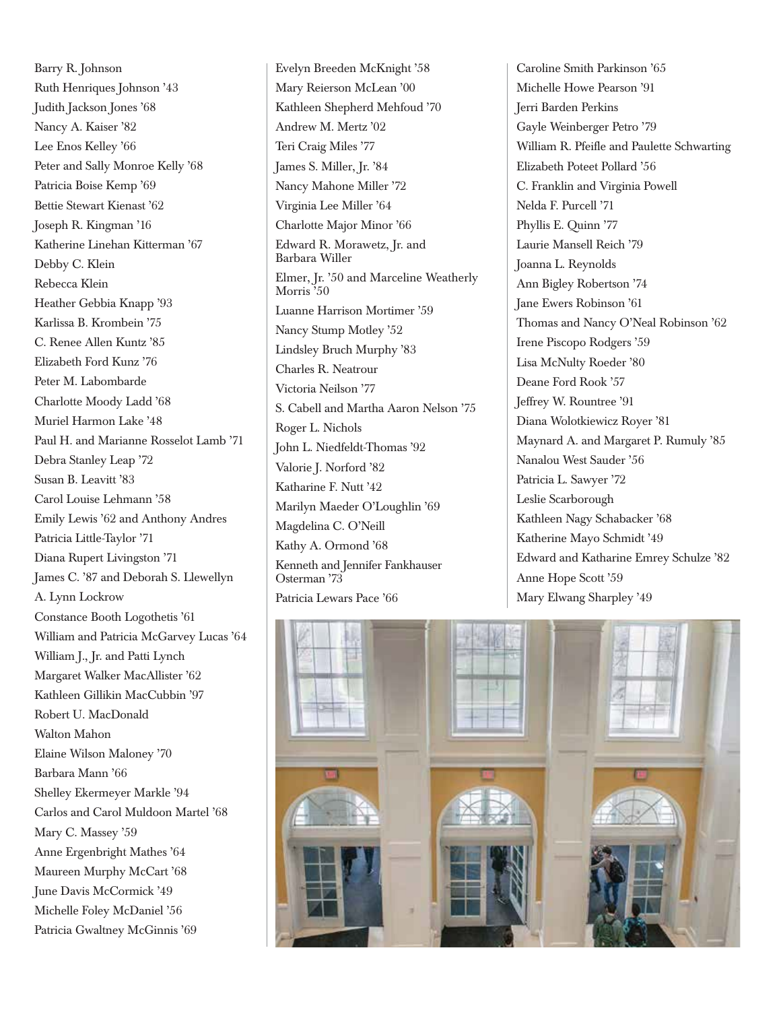Barry R. Johnson Ruth Henriques Johnson '43 Judith Jackson Jones '68 Nancy A. Kaiser '82 Lee Enos Kelley '66 Peter and Sally Monroe Kelly '68 Patricia Boise Kemp '69 Bettie Stewart Kienast '62 Joseph R. Kingman '16 Katherine Linehan Kitterman '67 Debby C. Klein Rebecca Klein Heather Gebbia Knapp '93 Karlissa B. Krombein '75 C. Renee Allen Kuntz '85 Elizabeth Ford Kunz '76 Peter M. Labombarde Charlotte Moody Ladd '68 Muriel Harmon Lake '48 Paul H. and Marianne Rosselot Lamb '71 Debra Stanley Leap '72 Susan B. Leavitt '83 Carol Louise Lehmann '58 Emily Lewis '62 and Anthony Andres Patricia Little-Taylor '71 Diana Rupert Livingston '71 James C. '87 and Deborah S. Llewellyn A. Lynn Lockrow Constance Booth Logothetis '61 William and Patricia McGarvey Lucas '64 William J., Jr. and Patti Lynch Margaret Walker MacAllister '62 Kathleen Gillikin MacCubbin '97 Robert U. MacDonald Walton Mahon Elaine Wilson Maloney '70 Barbara Mann '66 Shelley Ekermeyer Markle '94 Carlos and Carol Muldoon Martel '68 Mary C. Massey '59 Anne Ergenbright Mathes '64 Maureen Murphy McCart '68 June Davis McCormick '49 Michelle Foley McDaniel '56 Patricia Gwaltney McGinnis '69

Evelyn Breeden McKnight '58 Mary Reierson McLean '00 Kathleen Shepherd Mehfoud '70 Andrew M. Mertz '02 Teri Craig Miles '77 James S. Miller, Jr. '84 Nancy Mahone Miller '72 Virginia Lee Miller '64 Charlotte Major Minor '66 Edward R. Morawetz, Jr. and Barbara Willer Elmer, Jr. '50 and Marceline Weatherly Morris<sup>550</sup> Luanne Harrison Mortimer '59 Nancy Stump Motley '52 Lindsley Bruch Murphy '83 Charles R. Neatrour Victoria Neilson '77 S. Cabell and Martha Aaron Nelson '75 Roger L. Nichols John L. Niedfeldt-Thomas '92 Valorie J. Norford '82 Katharine F. Nutt '42 Marilyn Maeder O'Loughlin '69 Magdelina C. O'Neill Kathy A. Ormond '68 Kenneth and Jennifer Fankhauser Osterman '73 Patricia Lewars Pace '66

Caroline Smith Parkinson '65 Michelle Howe Pearson '91 Jerri Barden Perkins Gayle Weinberger Petro '79 William R. Pfeifle and Paulette Schwarting Elizabeth Poteet Pollard '56 C. Franklin and Virginia Powell Nelda F. Purcell '71 Phyllis E. Quinn '77 Laurie Mansell Reich '79 Joanna L. Reynolds Ann Bigley Robertson '74 Jane Ewers Robinson '61 Thomas and Nancy O'Neal Robinson '62 Irene Piscopo Rodgers '59 Lisa McNulty Roeder '80 Deane Ford Rook '57 Jeffrey W. Rountree '91 Diana Wolotkiewicz Royer '81 Maynard A. and Margaret P. Rumuly '85 Nanalou West Sauder '56 Patricia L. Sawyer '72 Leslie Scarborough Kathleen Nagy Schabacker '68 Katherine Mayo Schmidt '49 Edward and Katharine Emrey Schulze '82 Anne Hope Scott '59 Mary Elwang Sharpley '49

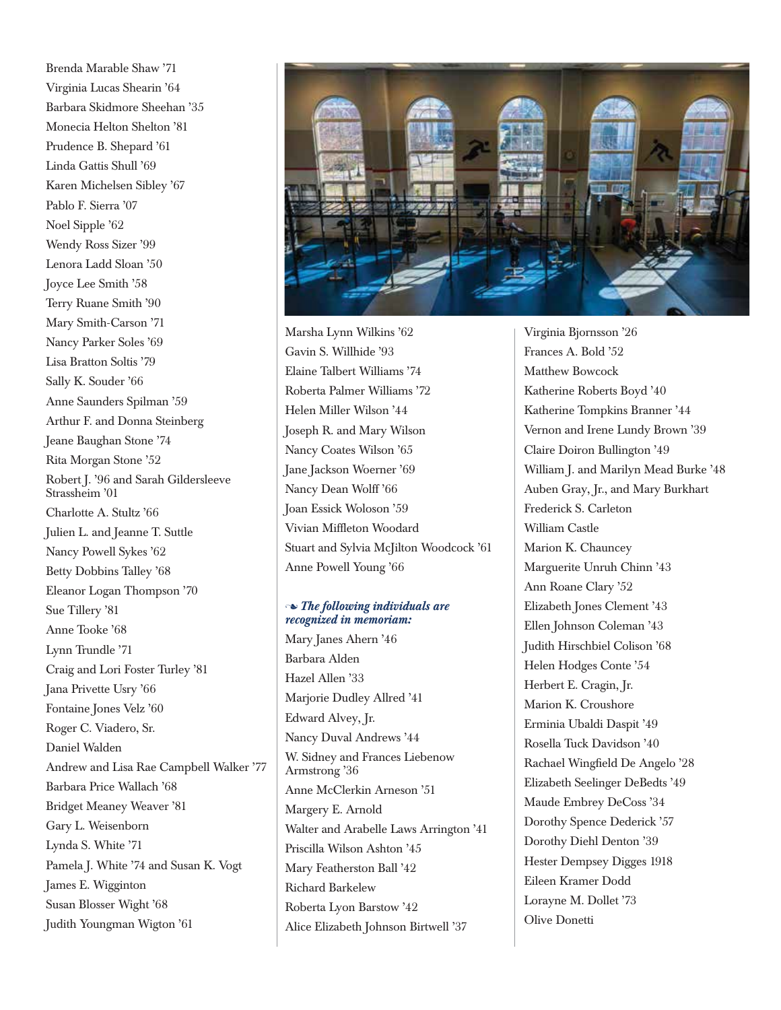Brenda Marable Shaw '71 Virginia Lucas Shearin '64 Barbara Skidmore Sheehan '35 Monecia Helton Shelton '81 Prudence B. Shepard '61 Linda Gattis Shull '69 Karen Michelsen Sibley '67 Pablo F. Sierra '07 Noel Sipple '62 Wendy Ross Sizer '99 Lenora Ladd Sloan '50 Joyce Lee Smith '58 Terry Ruane Smith '90 Mary Smith-Carson '71 Nancy Parker Soles '69 Lisa Bratton Soltis '79 Sally K. Souder '66 Anne Saunders Spilman '59 Arthur F. and Donna Steinberg Jeane Baughan Stone '74 Rita Morgan Stone '52 Robert J. '96 and Sarah Gildersleeve Strassheim '01 Charlotte A. Stultz '66 Julien L. and Jeanne T. Suttle Nancy Powell Sykes '62 Betty Dobbins Talley '68 Eleanor Logan Thompson '70 Sue Tillery '81 Anne Tooke '68 Lynn Trundle '71 Craig and Lori Foster Turley '81 Jana Privette Usry '66 Fontaine Jones Velz '60 Roger C. Viadero, Sr. Daniel Walden Andrew and Lisa Rae Campbell Walker '77 Barbara Price Wallach '68 Bridget Meaney Weaver '81 Gary L. Weisenborn Lynda S. White '71 Pamela J. White '74 and Susan K. Vogt James E. Wigginton Susan Blosser Wight '68 Judith Youngman Wigton '61



Marsha Lynn Wilkins '62 Gavin S. Willhide '93 Elaine Talbert Williams '74 Roberta Palmer Williams '72 Helen Miller Wilson '44 Joseph R. and Mary Wilson Nancy Coates Wilson '65 Jane Jackson Woerner '69 Nancy Dean Wolff '66 Joan Essick Woloson '59 Vivian Miffleton Woodard Stuart and Sylvia McJilton Woodcock '61 Anne Powell Young '66

## n *The following individuals are recognized in memoriam:*

Mary Janes Ahern '46 Barbara Alden Hazel Allen '33 Marjorie Dudley Allred '41 Edward Alvey, Jr. Nancy Duval Andrews '44 W. Sidney and Frances Liebenow Armstrong '36 Anne McClerkin Arneson '51 Margery E. Arnold Walter and Arabelle Laws Arrington '41 Priscilla Wilson Ashton '45 Mary Featherston Ball '42 Richard Barkelew Roberta Lyon Barstow '42 Alice Elizabeth Johnson Birtwell '37

Virginia Bjornsson '26 Frances A. Bold '52 Matthew Bowcock Katherine Roberts Boyd '40 Katherine Tompkins Branner '44 Vernon and Irene Lundy Brown '39 Claire Doiron Bullington '49 William J. and Marilyn Mead Burke '48 Auben Gray, Jr., and Mary Burkhart Frederick S. Carleton William Castle Marion K. Chauncey Marguerite Unruh Chinn '43 Ann Roane Clary '52 Elizabeth Jones Clement '43 Ellen Johnson Coleman '43 Judith Hirschbiel Colison '68 Helen Hodges Conte '54 Herbert E. Cragin, Jr. Marion K. Croushore Erminia Ubaldi Daspit '49 Rosella Tuck Davidson '40 Rachael Wingfield De Angelo '28 Elizabeth Seelinger DeBedts '49 Maude Embrey DeCoss '34 Dorothy Spence Dederick '57 Dorothy Diehl Denton '39 Hester Dempsey Digges 1918 Eileen Kramer Dodd Lorayne M. Dollet '73 Olive Donetti